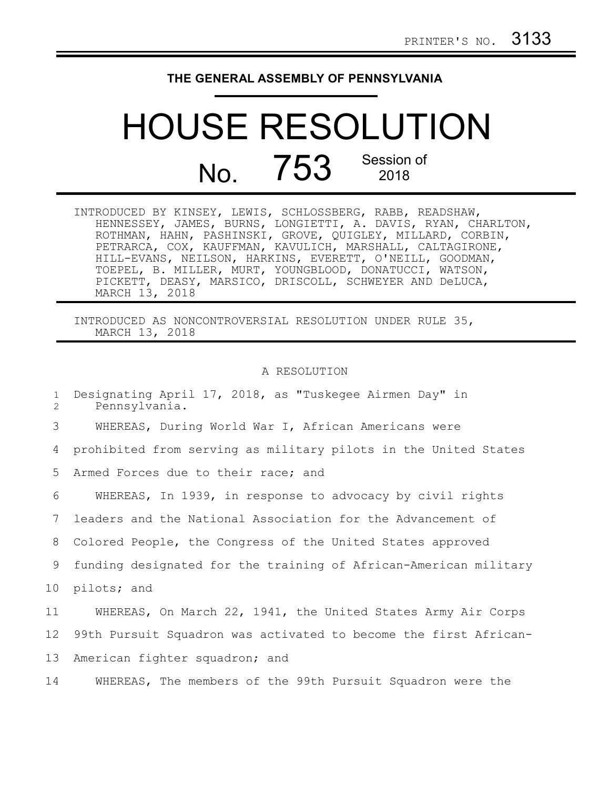## **THE GENERAL ASSEMBLY OF PENNSYLVANIA**

## HOUSE RESOLUTION No. 753 Session of 2018

| INTRODUCED BY KINSEY, LEWIS, SCHLOSSBERG, RABB, READSHAW,     |  |  |
|---------------------------------------------------------------|--|--|
| HENNESSEY, JAMES, BURNS, LONGIETTI, A. DAVIS, RYAN, CHARLTON, |  |  |
| ROTHMAN, HAHN, PASHINSKI, GROVE, QUIGLEY, MILLARD, CORBIN,    |  |  |
| PETRARCA, COX, KAUFFMAN, KAVULICH, MARSHALL, CALTAGIRONE,     |  |  |
| HILL-EVANS, NEILSON, HARKINS, EVERETT, O'NEILL, GOODMAN,      |  |  |
| TOEPEL, B. MILLER, MURT, YOUNGBLOOD, DONATUCCI, WATSON,       |  |  |
| PICKETT, DEASY, MARSICO, DRISCOLL, SCHWEYER AND DeLUCA,       |  |  |
| MARCH 13, 2018                                                |  |  |

INTRODUCED AS NONCONTROVERSIAL RESOLUTION UNDER RULE 35, MARCH 13, 2018

## A RESOLUTION

| $\mathbf{1}$<br>2 | Designating April 17, 2018, as "Tuskegee Airmen Day" in<br>Pennsylvania. |
|-------------------|--------------------------------------------------------------------------|
| 3                 | WHEREAS, During World War I, African Americans were                      |
| 4                 | prohibited from serving as military pilots in the United States          |
| 5                 | Armed Forces due to their race; and                                      |
| 6                 | WHEREAS, In 1939, in response to advocacy by civil rights                |
| 7                 | leaders and the National Association for the Advancement of              |
| 8                 | Colored People, the Congress of the United States approved               |
| 9                 | funding designated for the training of African-American military         |
| 10                | pilots; and                                                              |
| 11                | WHEREAS, On March 22, 1941, the United States Army Air Corps             |
| 12                | 99th Pursuit Squadron was activated to become the first African-         |
| 13                | American fighter squadron; and                                           |
| 14                | WHEREAS, The members of the 99th Pursuit Squadron were the               |